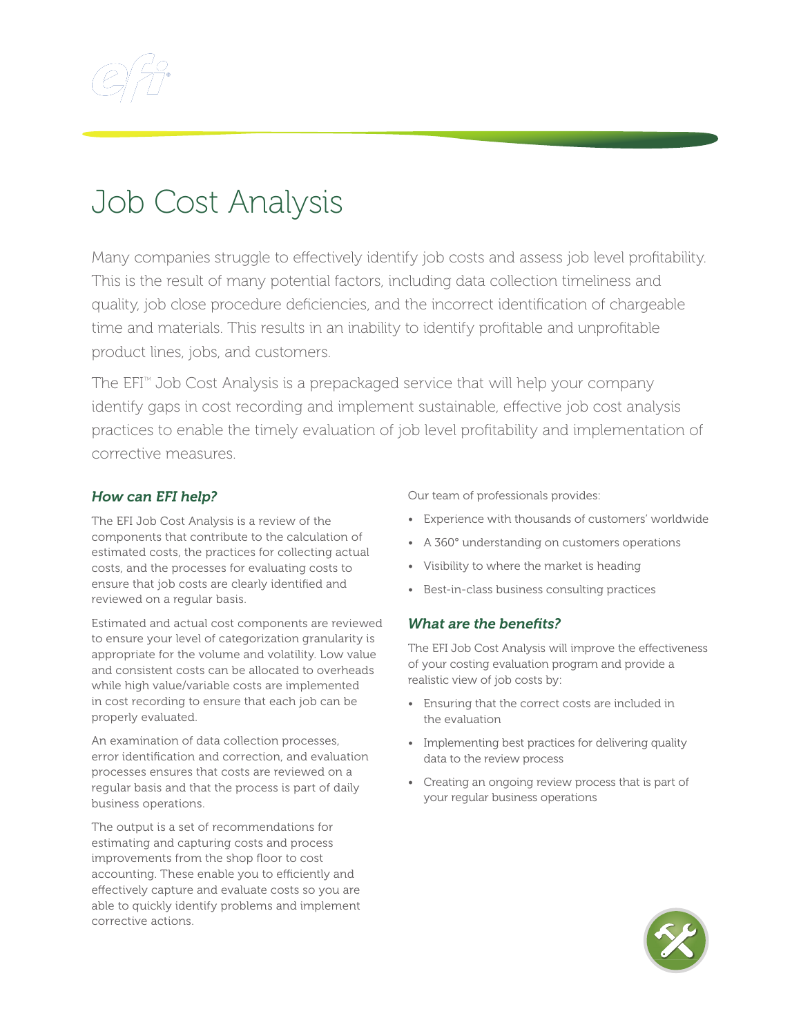

## Job Cost Analysis

Many companies struggle to effectively identify job costs and assess job level profitability. This is the result of many potential factors, including data collection timeliness and quality, job close procedure deficiencies, and the incorrect identification of chargeable time and materials. This results in an inability to identify profitable and unprofitable product lines, jobs, and customers.

The  $EFT^{M}$  Job Cost Analysis is a prepackaged service that will help your company identify gaps in cost recording and implement sustainable, effective job cost analysis practices to enable the timely evaluation of job level profitability and implementation of corrective measures.

## *How can EFI help?*

The EFI Job Cost Analysis is a review of the components that contribute to the calculation of estimated costs, the practices for collecting actual costs, and the processes for evaluating costs to ensure that job costs are clearly identified and reviewed on a regular basis.

Estimated and actual cost components are reviewed to ensure your level of categorization granularity is appropriate for the volume and volatility. Low value and consistent costs can be allocated to overheads while high value/variable costs are implemented in cost recording to ensure that each job can be properly evaluated.

An examination of data collection processes, error identification and correction, and evaluation processes ensures that costs are reviewed on a regular basis and that the process is part of daily business operations.

The output is a set of recommendations for estimating and capturing costs and process improvements from the shop floor to cost accounting. These enable you to efficiently and effectively capture and evaluate costs so you are able to quickly identify problems and implement corrective actions.

Our team of professionals provides:

- Experience with thousands of customers' worldwide
- A 360° understanding on customers operations
- Visibility to where the market is heading
- Best-in-class business consulting practices

## *What are the benefits?*

The EFI Job Cost Analysis will improve the effectiveness of your costing evaluation program and provide a realistic view of job costs by:

- Ensuring that the correct costs are included in the evaluation
- Implementing best practices for delivering quality data to the review process
- Creating an ongoing review process that is part of your regular business operations